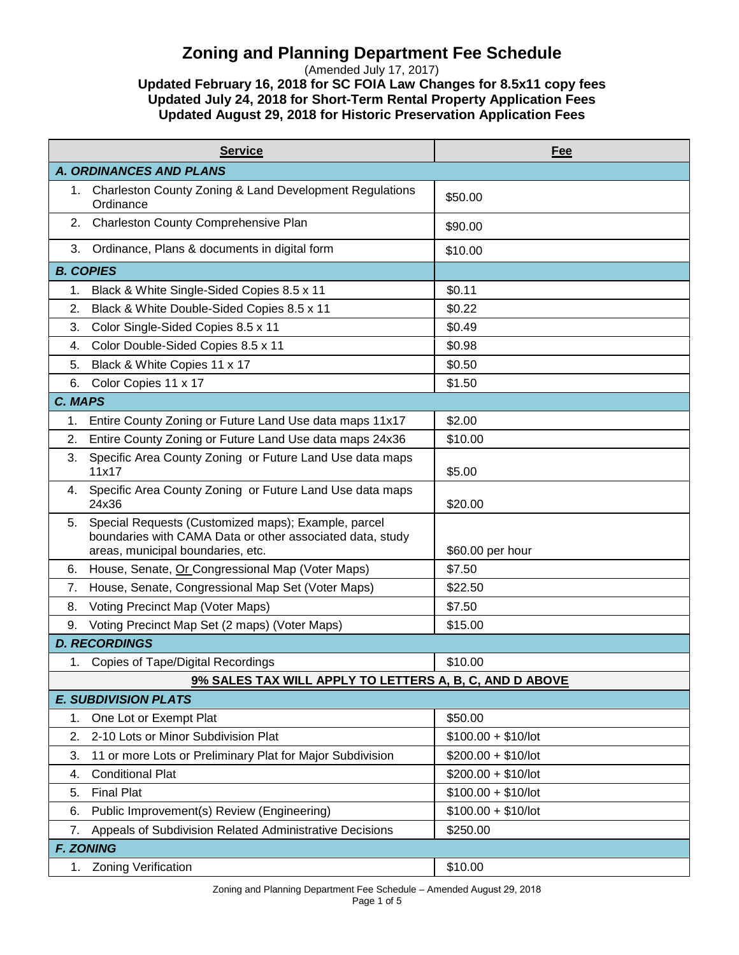## **Zoning and Planning Department Fee Schedule**

(Amended July 17, 2017) **Updated February 16, 2018 for SC FOIA Law Changes for 8.5x11 copy fees**

**Updated July 24, 2018 for Short-Term Rental Property Application Fees Updated August 29, 2018 for Historic Preservation Application Fees**

|                                | <b>Service</b>                                                                                                                                        | Fee                  |  |  |
|--------------------------------|-------------------------------------------------------------------------------------------------------------------------------------------------------|----------------------|--|--|
| <b>A. ORDINANCES AND PLANS</b> |                                                                                                                                                       |                      |  |  |
| 1.                             | <b>Charleston County Zoning &amp; Land Development Regulations</b><br>Ordinance                                                                       | \$50.00              |  |  |
| 2.                             | Charleston County Comprehensive Plan                                                                                                                  | \$90.00              |  |  |
| 3.                             | Ordinance, Plans & documents in digital form                                                                                                          | \$10.00              |  |  |
|                                | <b>B. COPIES</b>                                                                                                                                      |                      |  |  |
| 1.                             | Black & White Single-Sided Copies 8.5 x 11                                                                                                            | \$0.11               |  |  |
| 2.                             | Black & White Double-Sided Copies 8.5 x 11                                                                                                            | \$0.22               |  |  |
| 3.                             | Color Single-Sided Copies 8.5 x 11                                                                                                                    | \$0.49               |  |  |
| 4.                             | Color Double-Sided Copies 8.5 x 11                                                                                                                    | \$0.98               |  |  |
| 5.                             | Black & White Copies 11 x 17                                                                                                                          | \$0.50               |  |  |
| 6.                             | Color Copies 11 x 17                                                                                                                                  | \$1.50               |  |  |
| C. MAPS                        |                                                                                                                                                       |                      |  |  |
| 1.                             | Entire County Zoning or Future Land Use data maps 11x17                                                                                               | \$2.00               |  |  |
| 2.                             | Entire County Zoning or Future Land Use data maps 24x36                                                                                               | \$10.00              |  |  |
| 3.                             | Specific Area County Zoning or Future Land Use data maps<br>11x17                                                                                     | \$5.00               |  |  |
| 4.                             | Specific Area County Zoning or Future Land Use data maps<br>24x36                                                                                     | \$20.00              |  |  |
| 5.                             | Special Requests (Customized maps); Example, parcel<br>boundaries with CAMA Data or other associated data, study<br>areas, municipal boundaries, etc. | \$60.00 per hour     |  |  |
| 6.                             | House, Senate, Or Congressional Map (Voter Maps)                                                                                                      | \$7.50               |  |  |
| 7.                             | House, Senate, Congressional Map Set (Voter Maps)                                                                                                     | \$22.50              |  |  |
| 8.                             | Voting Precinct Map (Voter Maps)                                                                                                                      | \$7.50               |  |  |
| 9.                             | Voting Precinct Map Set (2 maps) (Voter Maps)                                                                                                         | \$15.00              |  |  |
|                                | <b>D. RECORDINGS</b>                                                                                                                                  |                      |  |  |
| 1.                             | <b>Copies of Tape/Digital Recordings</b>                                                                                                              | \$10.00              |  |  |
|                                | 9% SALES TAX WILL APPLY TO LETTERS A, B, C, AND D ABOVE                                                                                               |                      |  |  |
| <b>E. SUBDIVISION PLATS</b>    |                                                                                                                                                       |                      |  |  |
| 1.                             | One Lot or Exempt Plat                                                                                                                                | \$50.00              |  |  |
| 2.                             | 2-10 Lots or Minor Subdivision Plat                                                                                                                   | $$100.00 + $10/$ lot |  |  |
| 3.                             | 11 or more Lots or Preliminary Plat for Major Subdivision                                                                                             | $$200.00 + $10/$ lot |  |  |
| 4.                             | <b>Conditional Plat</b>                                                                                                                               | $$200.00 + $10/$ lot |  |  |
| 5.                             | <b>Final Plat</b>                                                                                                                                     | $$100.00 + $10/$ lot |  |  |
| 6.                             | Public Improvement(s) Review (Engineering)                                                                                                            | $$100.00 + $10/$ lot |  |  |
| 7.                             | Appeals of Subdivision Related Administrative Decisions                                                                                               | \$250.00             |  |  |
| <b>F. ZONING</b>               |                                                                                                                                                       |                      |  |  |
| 1.                             | <b>Zoning Verification</b>                                                                                                                            | \$10.00              |  |  |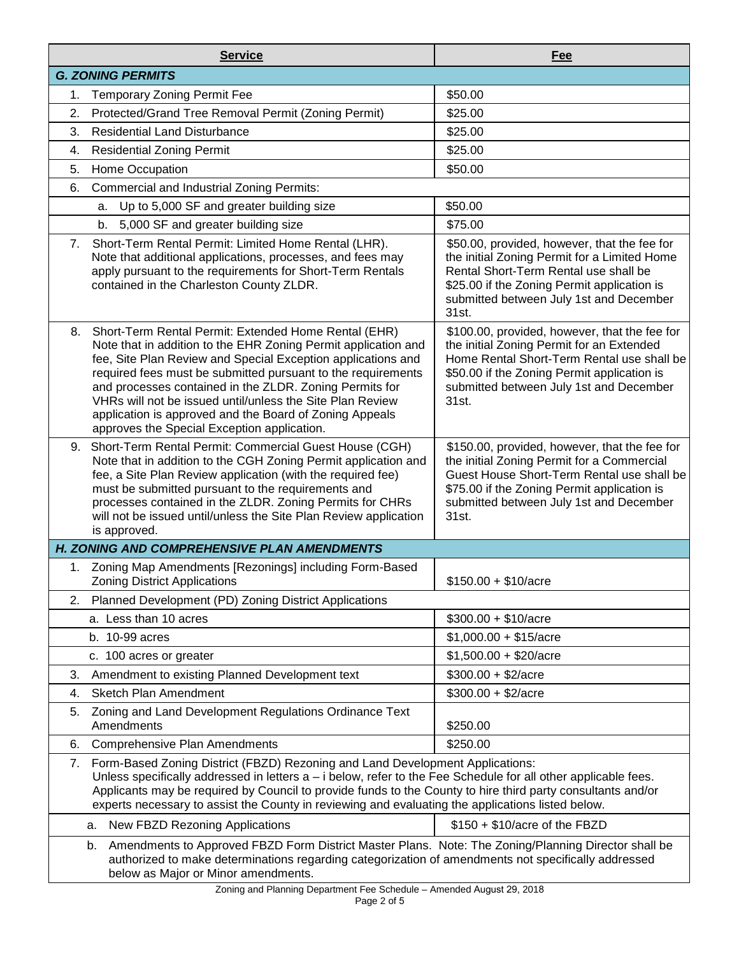|                                                                                                                                                                                                                                                         | <b>Service</b>                                                                                                                                                                                                                                                                                                                                                                                                                                                                           | Fee                                                                                                                                                                                                                                          |  |
|---------------------------------------------------------------------------------------------------------------------------------------------------------------------------------------------------------------------------------------------------------|------------------------------------------------------------------------------------------------------------------------------------------------------------------------------------------------------------------------------------------------------------------------------------------------------------------------------------------------------------------------------------------------------------------------------------------------------------------------------------------|----------------------------------------------------------------------------------------------------------------------------------------------------------------------------------------------------------------------------------------------|--|
| <b>G. ZONING PERMITS</b>                                                                                                                                                                                                                                |                                                                                                                                                                                                                                                                                                                                                                                                                                                                                          |                                                                                                                                                                                                                                              |  |
| 1.                                                                                                                                                                                                                                                      | <b>Temporary Zoning Permit Fee</b>                                                                                                                                                                                                                                                                                                                                                                                                                                                       | \$50.00                                                                                                                                                                                                                                      |  |
| 2.                                                                                                                                                                                                                                                      | Protected/Grand Tree Removal Permit (Zoning Permit)                                                                                                                                                                                                                                                                                                                                                                                                                                      | \$25.00                                                                                                                                                                                                                                      |  |
| 3.                                                                                                                                                                                                                                                      | <b>Residential Land Disturbance</b>                                                                                                                                                                                                                                                                                                                                                                                                                                                      | \$25.00                                                                                                                                                                                                                                      |  |
| 4.                                                                                                                                                                                                                                                      | <b>Residential Zoning Permit</b>                                                                                                                                                                                                                                                                                                                                                                                                                                                         | \$25.00                                                                                                                                                                                                                                      |  |
| 5.                                                                                                                                                                                                                                                      | Home Occupation                                                                                                                                                                                                                                                                                                                                                                                                                                                                          | \$50.00                                                                                                                                                                                                                                      |  |
| 6.                                                                                                                                                                                                                                                      | <b>Commercial and Industrial Zoning Permits:</b>                                                                                                                                                                                                                                                                                                                                                                                                                                         |                                                                                                                                                                                                                                              |  |
|                                                                                                                                                                                                                                                         | Up to 5,000 SF and greater building size<br>а.                                                                                                                                                                                                                                                                                                                                                                                                                                           | \$50.00                                                                                                                                                                                                                                      |  |
|                                                                                                                                                                                                                                                         | 5,000 SF and greater building size<br>b.                                                                                                                                                                                                                                                                                                                                                                                                                                                 | \$75.00                                                                                                                                                                                                                                      |  |
| 7.                                                                                                                                                                                                                                                      | Short-Term Rental Permit: Limited Home Rental (LHR).<br>Note that additional applications, processes, and fees may<br>apply pursuant to the requirements for Short-Term Rentals<br>contained in the Charleston County ZLDR.                                                                                                                                                                                                                                                              | \$50.00, provided, however, that the fee for<br>the initial Zoning Permit for a Limited Home<br>Rental Short-Term Rental use shall be<br>\$25.00 if the Zoning Permit application is<br>submitted between July 1st and December<br>31st.     |  |
| 8.                                                                                                                                                                                                                                                      | Short-Term Rental Permit: Extended Home Rental (EHR)<br>Note that in addition to the EHR Zoning Permit application and<br>fee, Site Plan Review and Special Exception applications and<br>required fees must be submitted pursuant to the requirements<br>and processes contained in the ZLDR. Zoning Permits for<br>VHRs will not be issued until/unless the Site Plan Review<br>application is approved and the Board of Zoning Appeals<br>approves the Special Exception application. | \$100.00, provided, however, that the fee for<br>the initial Zoning Permit for an Extended<br>Home Rental Short-Term Rental use shall be<br>\$50.00 if the Zoning Permit application is<br>submitted between July 1st and December<br>31st.  |  |
|                                                                                                                                                                                                                                                         | 9. Short-Term Rental Permit: Commercial Guest House (CGH)<br>Note that in addition to the CGH Zoning Permit application and<br>fee, a Site Plan Review application (with the required fee)<br>must be submitted pursuant to the requirements and<br>processes contained in the ZLDR. Zoning Permits for CHRs<br>will not be issued until/unless the Site Plan Review application<br>is approved.                                                                                         | \$150.00, provided, however, that the fee for<br>the initial Zoning Permit for a Commercial<br>Guest House Short-Term Rental use shall be<br>\$75.00 if the Zoning Permit application is<br>submitted between July 1st and December<br>31st. |  |
|                                                                                                                                                                                                                                                         | H. ZONING AND COMPREHENSIVE PLAN AMENDMENTS                                                                                                                                                                                                                                                                                                                                                                                                                                              |                                                                                                                                                                                                                                              |  |
| 1.                                                                                                                                                                                                                                                      | Zoning Map Amendments [Rezonings] including Form-Based<br><b>Zoning District Applications</b>                                                                                                                                                                                                                                                                                                                                                                                            | $$150.00 + $10/ \text{acre}$                                                                                                                                                                                                                 |  |
| 2.                                                                                                                                                                                                                                                      | Planned Development (PD) Zoning District Applications                                                                                                                                                                                                                                                                                                                                                                                                                                    |                                                                                                                                                                                                                                              |  |
|                                                                                                                                                                                                                                                         | a. Less than 10 acres                                                                                                                                                                                                                                                                                                                                                                                                                                                                    | $$300.00 + $10/ \text{acre}$                                                                                                                                                                                                                 |  |
|                                                                                                                                                                                                                                                         | b. 10-99 acres                                                                                                                                                                                                                                                                                                                                                                                                                                                                           | $$1,000.00 + $15/acre$                                                                                                                                                                                                                       |  |
|                                                                                                                                                                                                                                                         | c. 100 acres or greater                                                                                                                                                                                                                                                                                                                                                                                                                                                                  | $$1,500.00 + $20/acre$                                                                                                                                                                                                                       |  |
| 3.                                                                                                                                                                                                                                                      | Amendment to existing Planned Development text                                                                                                                                                                                                                                                                                                                                                                                                                                           | $$300.00 + $2/acre$                                                                                                                                                                                                                          |  |
| 4.                                                                                                                                                                                                                                                      | <b>Sketch Plan Amendment</b>                                                                                                                                                                                                                                                                                                                                                                                                                                                             | $$300.00 + $2/acre$                                                                                                                                                                                                                          |  |
| 5.                                                                                                                                                                                                                                                      | Zoning and Land Development Regulations Ordinance Text<br>Amendments                                                                                                                                                                                                                                                                                                                                                                                                                     | \$250.00                                                                                                                                                                                                                                     |  |
| 6.                                                                                                                                                                                                                                                      | <b>Comprehensive Plan Amendments</b>                                                                                                                                                                                                                                                                                                                                                                                                                                                     | \$250.00                                                                                                                                                                                                                                     |  |
|                                                                                                                                                                                                                                                         | 7. Form-Based Zoning District (FBZD) Rezoning and Land Development Applications:<br>Unless specifically addressed in letters a - i below, refer to the Fee Schedule for all other applicable fees.<br>Applicants may be required by Council to provide funds to the County to hire third party consultants and/or<br>experts necessary to assist the County in reviewing and evaluating the applications listed below.                                                                   |                                                                                                                                                                                                                                              |  |
|                                                                                                                                                                                                                                                         | New FBZD Rezoning Applications<br>a.                                                                                                                                                                                                                                                                                                                                                                                                                                                     | $$150 + $10/$ acre of the FBZD                                                                                                                                                                                                               |  |
| Amendments to Approved FBZD Form District Master Plans. Note: The Zoning/Planning Director shall be<br>b.<br>authorized to make determinations regarding categorization of amendments not specifically addressed<br>below as Major or Minor amendments. |                                                                                                                                                                                                                                                                                                                                                                                                                                                                                          |                                                                                                                                                                                                                                              |  |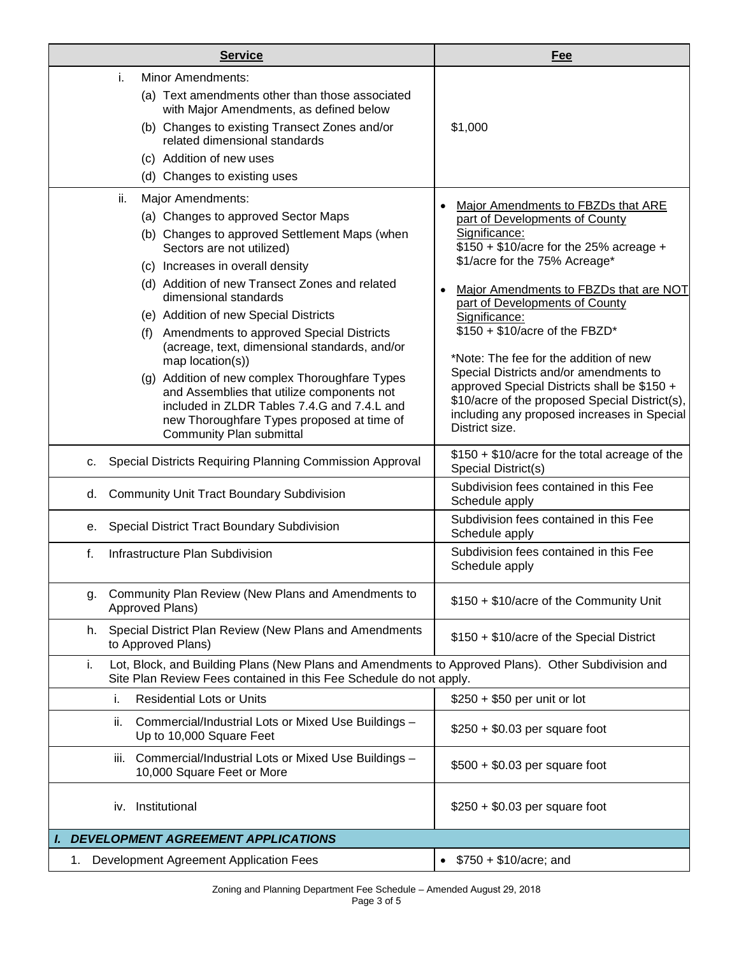|    | <b>Service</b>                                                                                                                                                                                                                                                                                                                                                                                                                                                                                                                                                                                                                                      | Fee                                                                                                                                                                                                                                                                                                                                                                                                                                                                                                                                                     |
|----|-----------------------------------------------------------------------------------------------------------------------------------------------------------------------------------------------------------------------------------------------------------------------------------------------------------------------------------------------------------------------------------------------------------------------------------------------------------------------------------------------------------------------------------------------------------------------------------------------------------------------------------------------------|---------------------------------------------------------------------------------------------------------------------------------------------------------------------------------------------------------------------------------------------------------------------------------------------------------------------------------------------------------------------------------------------------------------------------------------------------------------------------------------------------------------------------------------------------------|
|    | <b>Minor Amendments:</b><br>i.<br>(a) Text amendments other than those associated<br>with Major Amendments, as defined below<br>(b) Changes to existing Transect Zones and/or<br>related dimensional standards<br>(c) Addition of new uses<br>(d) Changes to existing uses                                                                                                                                                                                                                                                                                                                                                                          | \$1,000                                                                                                                                                                                                                                                                                                                                                                                                                                                                                                                                                 |
|    | Major Amendments:<br>ii.<br>(a) Changes to approved Sector Maps<br>(b) Changes to approved Settlement Maps (when<br>Sectors are not utilized)<br>(c) Increases in overall density<br>(d) Addition of new Transect Zones and related<br>dimensional standards<br>(e) Addition of new Special Districts<br>(f) Amendments to approved Special Districts<br>(acreage, text, dimensional standards, and/or<br>map location(s))<br>(g) Addition of new complex Thoroughfare Types<br>and Assemblies that utilize components not<br>included in ZLDR Tables 7.4.G and 7.4.L and<br>new Thoroughfare Types proposed at time of<br>Community Plan submittal | Major Amendments to FBZDs that ARE<br>part of Developments of County<br>Significance:<br>$$150 + $10/$ acre for the 25% acreage +<br>\$1/acre for the 75% Acreage*<br>Major Amendments to FBZDs that are NOT<br>part of Developments of County<br>Significance:<br>\$150 + \$10/acre of the FBZD*<br>*Note: The fee for the addition of new<br>Special Districts and/or amendments to<br>approved Special Districts shall be \$150 +<br>\$10/acre of the proposed Special District(s),<br>including any proposed increases in Special<br>District size. |
| C. | Special Districts Requiring Planning Commission Approval                                                                                                                                                                                                                                                                                                                                                                                                                                                                                                                                                                                            | \$150 + \$10/acre for the total acreage of the<br>Special District(s)                                                                                                                                                                                                                                                                                                                                                                                                                                                                                   |
| d. | <b>Community Unit Tract Boundary Subdivision</b>                                                                                                                                                                                                                                                                                                                                                                                                                                                                                                                                                                                                    | Subdivision fees contained in this Fee<br>Schedule apply                                                                                                                                                                                                                                                                                                                                                                                                                                                                                                |
| е. | Special District Tract Boundary Subdivision                                                                                                                                                                                                                                                                                                                                                                                                                                                                                                                                                                                                         | Subdivision fees contained in this Fee<br>Schedule apply                                                                                                                                                                                                                                                                                                                                                                                                                                                                                                |
| f. | Infrastructure Plan Subdivision                                                                                                                                                                                                                                                                                                                                                                                                                                                                                                                                                                                                                     | Subdivision fees contained in this Fee<br>Schedule apply                                                                                                                                                                                                                                                                                                                                                                                                                                                                                                |
| g. | Community Plan Review (New Plans and Amendments to<br>Approved Plans)                                                                                                                                                                                                                                                                                                                                                                                                                                                                                                                                                                               | \$150 + \$10/acre of the Community Unit                                                                                                                                                                                                                                                                                                                                                                                                                                                                                                                 |
| h. | Special District Plan Review (New Plans and Amendments<br>to Approved Plans)                                                                                                                                                                                                                                                                                                                                                                                                                                                                                                                                                                        | \$150 + \$10/acre of the Special District                                                                                                                                                                                                                                                                                                                                                                                                                                                                                                               |
| i. | Lot, Block, and Building Plans (New Plans and Amendments to Approved Plans). Other Subdivision and<br>Site Plan Review Fees contained in this Fee Schedule do not apply.                                                                                                                                                                                                                                                                                                                                                                                                                                                                            |                                                                                                                                                                                                                                                                                                                                                                                                                                                                                                                                                         |
|    | <b>Residential Lots or Units</b><br>i.                                                                                                                                                                                                                                                                                                                                                                                                                                                                                                                                                                                                              | \$250 + \$50 per unit or lot                                                                                                                                                                                                                                                                                                                                                                                                                                                                                                                            |
|    | ii.<br>Commercial/Industrial Lots or Mixed Use Buildings -<br>Up to 10,000 Square Feet                                                                                                                                                                                                                                                                                                                                                                                                                                                                                                                                                              | $$250 + $0.03$ per square foot                                                                                                                                                                                                                                                                                                                                                                                                                                                                                                                          |
|    | Commercial/Industrial Lots or Mixed Use Buildings -<br>Ш.<br>10,000 Square Feet or More                                                                                                                                                                                                                                                                                                                                                                                                                                                                                                                                                             | $$500 + $0.03$ per square foot                                                                                                                                                                                                                                                                                                                                                                                                                                                                                                                          |
|    | Institutional<br>iv.                                                                                                                                                                                                                                                                                                                                                                                                                                                                                                                                                                                                                                | $$250 + $0.03$ per square foot                                                                                                                                                                                                                                                                                                                                                                                                                                                                                                                          |
|    | <b>I. DEVELOPMENT AGREEMENT APPLICATIONS</b>                                                                                                                                                                                                                                                                                                                                                                                                                                                                                                                                                                                                        |                                                                                                                                                                                                                                                                                                                                                                                                                                                                                                                                                         |
| 1. | Development Agreement Application Fees                                                                                                                                                                                                                                                                                                                                                                                                                                                                                                                                                                                                              | $$750 + $10/acre;$ and<br>$\bullet$                                                                                                                                                                                                                                                                                                                                                                                                                                                                                                                     |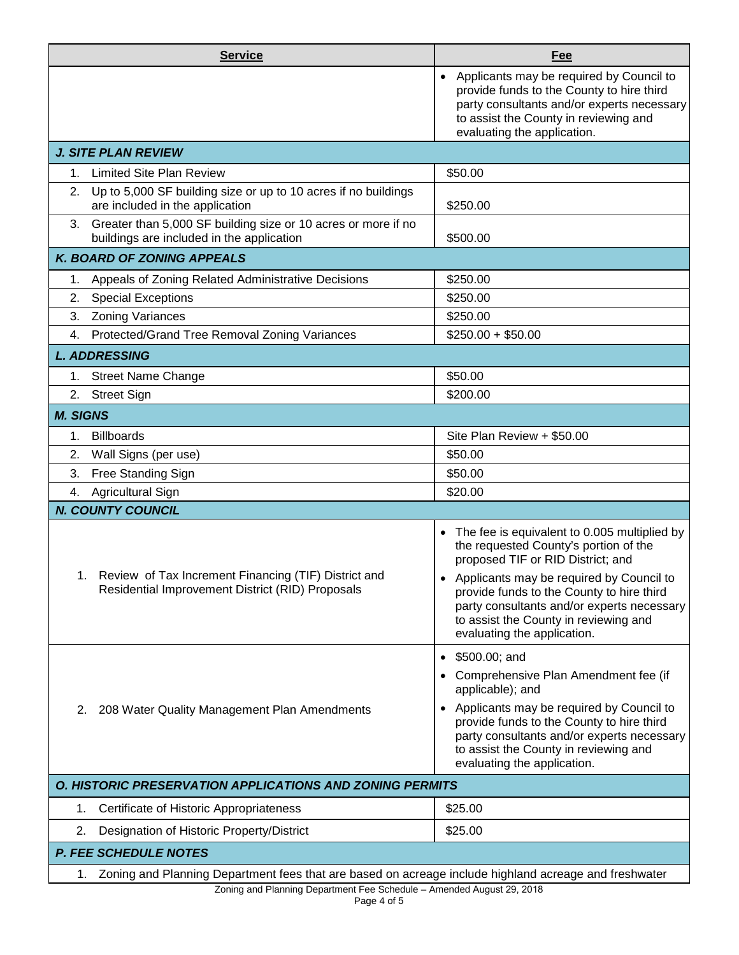|                                                          | <b>Service</b>                                                                                                | Fee                                                                                                                                                                                                                                                                                        |  |
|----------------------------------------------------------|---------------------------------------------------------------------------------------------------------------|--------------------------------------------------------------------------------------------------------------------------------------------------------------------------------------------------------------------------------------------------------------------------------------------|--|
|                                                          |                                                                                                               | Applicants may be required by Council to<br>provide funds to the County to hire third<br>party consultants and/or experts necessary<br>to assist the County in reviewing and<br>evaluating the application.                                                                                |  |
|                                                          | <b>J. SITE PLAN REVIEW</b>                                                                                    |                                                                                                                                                                                                                                                                                            |  |
| 1.                                                       | <b>Limited Site Plan Review</b>                                                                               | \$50.00                                                                                                                                                                                                                                                                                    |  |
| 2.                                                       | Up to 5,000 SF building size or up to 10 acres if no buildings<br>are included in the application             | \$250.00                                                                                                                                                                                                                                                                                   |  |
|                                                          | 3. Greater than 5,000 SF building size or 10 acres or more if no<br>buildings are included in the application | \$500.00                                                                                                                                                                                                                                                                                   |  |
|                                                          | <b>K. BOARD OF ZONING APPEALS</b>                                                                             |                                                                                                                                                                                                                                                                                            |  |
| 1.                                                       | Appeals of Zoning Related Administrative Decisions                                                            | \$250.00                                                                                                                                                                                                                                                                                   |  |
| 2.                                                       | <b>Special Exceptions</b>                                                                                     | \$250.00                                                                                                                                                                                                                                                                                   |  |
| 3.                                                       | <b>Zoning Variances</b>                                                                                       | \$250.00                                                                                                                                                                                                                                                                                   |  |
| 4.                                                       | Protected/Grand Tree Removal Zoning Variances                                                                 | $$250.00 + $50.00$                                                                                                                                                                                                                                                                         |  |
|                                                          | <b>L. ADDRESSING</b>                                                                                          |                                                                                                                                                                                                                                                                                            |  |
|                                                          | 1. Street Name Change                                                                                         | \$50.00                                                                                                                                                                                                                                                                                    |  |
| 2.                                                       | <b>Street Sign</b>                                                                                            | \$200.00                                                                                                                                                                                                                                                                                   |  |
| <b>M. SIGNS</b>                                          |                                                                                                               |                                                                                                                                                                                                                                                                                            |  |
| 1.                                                       | <b>Billboards</b>                                                                                             | Site Plan Review + \$50.00                                                                                                                                                                                                                                                                 |  |
| 2.                                                       | Wall Signs (per use)                                                                                          | \$50.00                                                                                                                                                                                                                                                                                    |  |
| 3.                                                       | Free Standing Sign                                                                                            | \$50.00                                                                                                                                                                                                                                                                                    |  |
| 4.                                                       | Agricultural Sign                                                                                             | \$20.00                                                                                                                                                                                                                                                                                    |  |
|                                                          | <b>N. COUNTY COUNCIL</b>                                                                                      |                                                                                                                                                                                                                                                                                            |  |
|                                                          | 1. Review of Tax Increment Financing (TIF) District and<br>Residential Improvement District (RID) Proposals   | • The fee is equivalent to 0.005 multiplied by<br>the requested County's portion of the<br>proposed TIF or RID District; and                                                                                                                                                               |  |
|                                                          |                                                                                                               | • Applicants may be required by Council to<br>provide funds to the County to hire third<br>party consultants and/or experts necessary<br>to assist the County in reviewing and<br>evaluating the application.                                                                              |  |
| 2.                                                       | 208 Water Quality Management Plan Amendments                                                                  | \$500.00; and<br>Comprehensive Plan Amendment fee (if<br>applicable); and<br>• Applicants may be required by Council to<br>provide funds to the County to hire third<br>party consultants and/or experts necessary<br>to assist the County in reviewing and<br>evaluating the application. |  |
| O. HISTORIC PRESERVATION APPLICATIONS AND ZONING PERMITS |                                                                                                               |                                                                                                                                                                                                                                                                                            |  |
| 1.                                                       | Certificate of Historic Appropriateness                                                                       | \$25.00                                                                                                                                                                                                                                                                                    |  |
| 2.                                                       | Designation of Historic Property/District                                                                     | \$25.00                                                                                                                                                                                                                                                                                    |  |
|                                                          | <b>P. FEE SCHEDULE NOTES</b>                                                                                  |                                                                                                                                                                                                                                                                                            |  |
|                                                          | Zoning and Planning Department fees that are based on acreage include highland acreage and freshwater<br>1.   |                                                                                                                                                                                                                                                                                            |  |
|                                                          | Zoning and Planning Department Fee Schedule - Amended August 29, 2018                                         |                                                                                                                                                                                                                                                                                            |  |